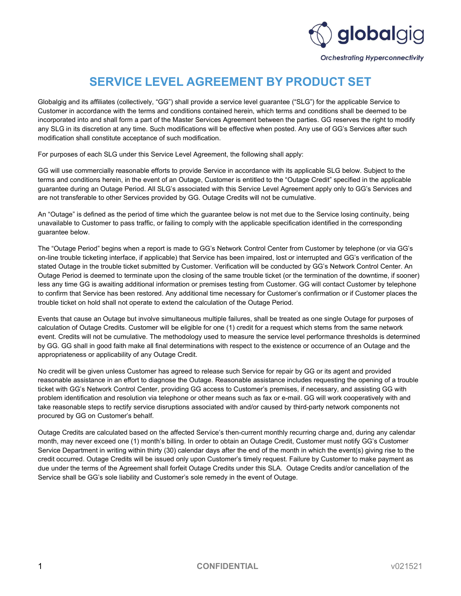

## SERVICE LEVEL AGREEMENT BY PRODUCT SET

Globalgig and its affiliates (collectively, "GG") shall provide a service level guarantee ("SLG") for the applicable Service to Customer in accordance with the terms and conditions contained herein, which terms and conditions shall be deemed to be incorporated into and shall form a part of the Master Services Agreement between the parties. GG reserves the right to modify any SLG in its discretion at any time. Such modifications will be effective when posted. Any use of GG's Services after such modification shall constitute acceptance of such modification.

For purposes of each SLG under this Service Level Agreement, the following shall apply:

GG will use commercially reasonable efforts to provide Service in accordance with its applicable SLG below. Subject to the terms and conditions herein, in the event of an Outage, Customer is entitled to the "Outage Credit" specified in the applicable guarantee during an Outage Period. All SLG's associated with this Service Level Agreement apply only to GG's Services and are not transferable to other Services provided by GG. Outage Credits will not be cumulative.

An "Outage" is defined as the period of time which the guarantee below is not met due to the Service losing continuity, being unavailable to Customer to pass traffic, or failing to comply with the applicable specification identified in the corresponding guarantee below.

The "Outage Period" begins when a report is made to GG's Network Control Center from Customer by telephone (or via GG's on-line trouble ticketing interface, if applicable) that Service has been impaired, lost or interrupted and GG's verification of the stated Outage in the trouble ticket submitted by Customer. Verification will be conducted by GG's Network Control Center. An Outage Period is deemed to terminate upon the closing of the same trouble ticket (or the termination of the downtime, if sooner) less any time GG is awaiting additional information or premises testing from Customer. GG will contact Customer by telephone to confirm that Service has been restored. Any additional time necessary for Customer's confirmation or if Customer places the trouble ticket on hold shall not operate to extend the calculation of the Outage Period.

Events that cause an Outage but involve simultaneous multiple failures, shall be treated as one single Outage for purposes of calculation of Outage Credits. Customer will be eligible for one (1) credit for a request which stems from the same network event. Credits will not be cumulative. The methodology used to measure the service level performance thresholds is determined by GG. GG shall in good faith make all final determinations with respect to the existence or occurrence of an Outage and the appropriateness or applicability of any Outage Credit.

No credit will be given unless Customer has agreed to release such Service for repair by GG or its agent and provided reasonable assistance in an effort to diagnose the Outage. Reasonable assistance includes requesting the opening of a trouble ticket with GG's Network Control Center, providing GG access to Customer's premises, if necessary, and assisting GG with problem identification and resolution via telephone or other means such as fax or e-mail. GG will work cooperatively with and take reasonable steps to rectify service disruptions associated with and/or caused by third-party network components not procured by GG on Customer's behalf.

Outage Credits are calculated based on the affected Service's then-current monthly recurring charge and, during any calendar month, may never exceed one (1) month's billing. In order to obtain an Outage Credit, Customer must notify GG's Customer Service Department in writing within thirty (30) calendar days after the end of the month in which the event(s) giving rise to the credit occurred. Outage Credits will be issued only upon Customer's timely request. Failure by Customer to make payment as due under the terms of the Agreement shall forfeit Outage Credits under this SLA. Outage Credits and/or cancellation of the Service shall be GG's sole liability and Customer's sole remedy in the event of Outage.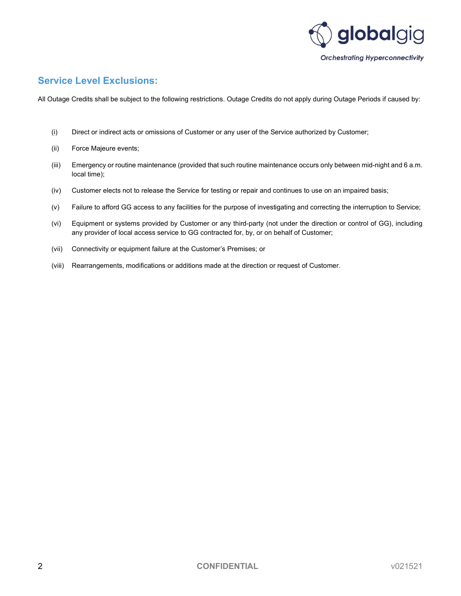

### Service Level Exclusions:

All Outage Credits shall be subject to the following restrictions. Outage Credits do not apply during Outage Periods if caused by:

- (i) Direct or indirect acts or omissions of Customer or any user of the Service authorized by Customer;
- (ii) Force Majeure events;
- (iii) Emergency or routine maintenance (provided that such routine maintenance occurs only between mid-night and 6 a.m. local time);
- (iv) Customer elects not to release the Service for testing or repair and continues to use on an impaired basis;
- (v) Failure to afford GG access to any facilities for the purpose of investigating and correcting the interruption to Service;
- (vi) Equipment or systems provided by Customer or any third-party (not under the direction or control of GG), including any provider of local access service to GG contracted for, by, or on behalf of Customer;
- (vii) Connectivity or equipment failure at the Customer's Premises; or
- (viii) Rearrangements, modifications or additions made at the direction or request of Customer.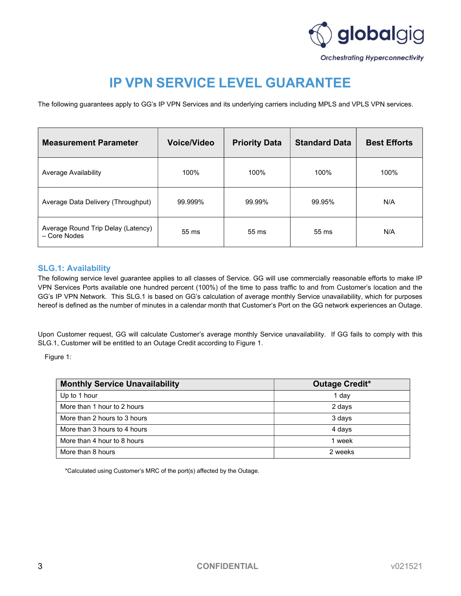

# IP VPN SERVICE LEVEL GUARANTEE

The following guarantees apply to GG's IP VPN Services and its underlying carriers including MPLS and VPLS VPN services.

| <b>Measurement Parameter</b>                       | <b>Voice/Video</b> | <b>Priority Data</b> | <b>Standard Data</b> | <b>Best Efforts</b> |
|----------------------------------------------------|--------------------|----------------------|----------------------|---------------------|
| Average Availability                               | 100%               | 100%                 | 100%                 | 100%                |
| Average Data Delivery (Throughput)                 | 99.999%            | 99.99%               | 99.95%               | N/A                 |
| Average Round Trip Delay (Latency)<br>- Core Nodes | 55 ms              | 55 ms                | $55 \text{ ms}$      | N/A                 |

#### SLG.1: Availability

The following service level guarantee applies to all classes of Service. GG will use commercially reasonable efforts to make IP VPN Services Ports available one hundred percent (100%) of the time to pass traffic to and from Customer's location and the GG's IP VPN Network. This SLG.1 is based on GG's calculation of average monthly Service unavailability, which for purposes hereof is defined as the number of minutes in a calendar month that Customer's Port on the GG network experiences an Outage.

Upon Customer request, GG will calculate Customer's average monthly Service unavailability. If GG fails to comply with this SLG.1, Customer will be entitled to an Outage Credit according to Figure 1.

Figure 1:

| <b>Monthly Service Unavailability</b> | <b>Outage Credit*</b> |
|---------------------------------------|-----------------------|
| Up to 1 hour                          | 1 day                 |
| More than 1 hour to 2 hours           | 2 days                |
| More than 2 hours to 3 hours          | 3 days                |
| More than 3 hours to 4 hours          | 4 days                |
| More than 4 hour to 8 hours           | 1 week                |
| More than 8 hours                     | 2 weeks               |

\*Calculated using Customer's MRC of the port(s) affected by the Outage.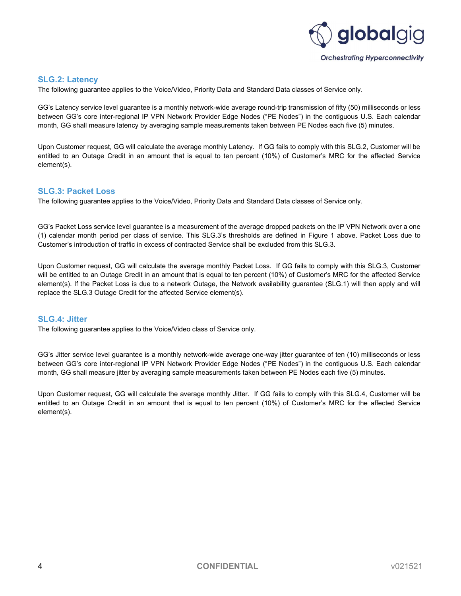

#### SLG.2: Latency

The following guarantee applies to the Voice/Video, Priority Data and Standard Data classes of Service only.

GG's Latency service level guarantee is a monthly network-wide average round-trip transmission of fifty (50) milliseconds or less between GG's core inter-regional IP VPN Network Provider Edge Nodes ("PE Nodes") in the contiguous U.S. Each calendar month, GG shall measure latency by averaging sample measurements taken between PE Nodes each five (5) minutes.

Upon Customer request, GG will calculate the average monthly Latency. If GG fails to comply with this SLG.2, Customer will be entitled to an Outage Credit in an amount that is equal to ten percent (10%) of Customer's MRC for the affected Service element(s).

#### SLG.3: Packet Loss

The following guarantee applies to the Voice/Video, Priority Data and Standard Data classes of Service only.

GG's Packet Loss service level guarantee is a measurement of the average dropped packets on the IP VPN Network over a one (1) calendar month period per class of service. This SLG.3's thresholds are defined in Figure 1 above. Packet Loss due to Customer's introduction of traffic in excess of contracted Service shall be excluded from this SLG.3.

Upon Customer request, GG will calculate the average monthly Packet Loss. If GG fails to comply with this SLG.3, Customer will be entitled to an Outage Credit in an amount that is equal to ten percent (10%) of Customer's MRC for the affected Service element(s). If the Packet Loss is due to a network Outage, the Network availability guarantee (SLG.1) will then apply and will replace the SLG.3 Outage Credit for the affected Service element(s).

#### SLG.4: Jitter

The following guarantee applies to the Voice/Video class of Service only.

GG's Jitter service level guarantee is a monthly network-wide average one-way jitter guarantee of ten (10) milliseconds or less between GG's core inter-regional IP VPN Network Provider Edge Nodes ("PE Nodes") in the contiguous U.S. Each calendar month, GG shall measure jitter by averaging sample measurements taken between PE Nodes each five (5) minutes.

Upon Customer request, GG will calculate the average monthly Jitter. If GG fails to comply with this SLG.4, Customer will be entitled to an Outage Credit in an amount that is equal to ten percent (10%) of Customer's MRC for the affected Service element(s).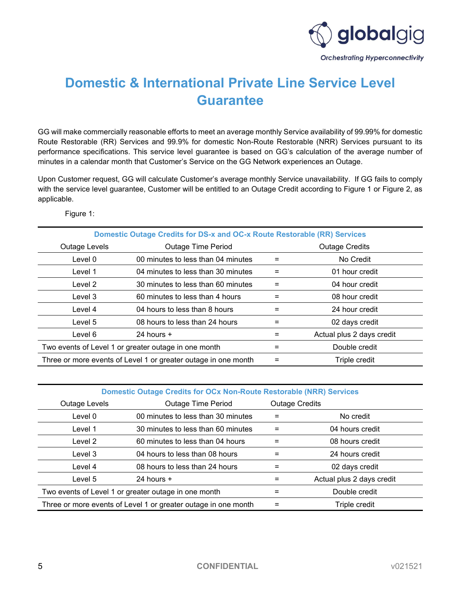

# Domestic & International Private Line Service Level Guarantee

GG will make commercially reasonable efforts to meet an average monthly Service availability of 99.99% for domestic Route Restorable (RR) Services and 99.9% for domestic Non-Route Restorable (NRR) Services pursuant to its performance specifications. This service level guarantee is based on GG's calculation of the average number of minutes in a calendar month that Customer's Service on the GG Network experiences an Outage.

Upon Customer request, GG will calculate Customer's average monthly Service unavailability. If GG fails to comply with the service level guarantee, Customer will be entitled to an Outage Credit according to Figure 1 or Figure 2, as applicable.

Figure 1:

| <b>Domestic Outage Credits for DS-x and OC-x Route Restorable (RR) Services</b> |                                                                |                       |                           |  |  |
|---------------------------------------------------------------------------------|----------------------------------------------------------------|-----------------------|---------------------------|--|--|
| Outage Levels                                                                   | <b>Outage Time Period</b>                                      | <b>Outage Credits</b> |                           |  |  |
| Level 0                                                                         | 00 minutes to less than 04 minutes                             | $=$                   | No Credit                 |  |  |
| Level 1                                                                         | 04 minutes to less than 30 minutes                             | $=$                   | 01 hour credit            |  |  |
| Level 2                                                                         | 30 minutes to less than 60 minutes                             | $=$                   | 04 hour credit            |  |  |
| Level 3                                                                         | 60 minutes to less than 4 hours                                | $=$                   | 08 hour credit            |  |  |
| Level 4                                                                         | 04 hours to less than 8 hours                                  | $=$                   | 24 hour credit            |  |  |
| Level 5                                                                         | 08 hours to less than 24 hours                                 | $=$                   | 02 days credit            |  |  |
| Level 6                                                                         | 24 hours $+$                                                   | $=$                   | Actual plus 2 days credit |  |  |
| Two events of Level 1 or greater outage in one month                            |                                                                | $=$                   | Double credit             |  |  |
|                                                                                 | Three or more events of Level 1 or greater outage in one month | $=$                   | Triple credit             |  |  |

Domestic Outage Credits for OCx Non-Route Restorable (NRR) Services

| Outage Levels                                                  | <b>Outage Time Period</b>          | <b>Outage Credits</b> |                           |  |
|----------------------------------------------------------------|------------------------------------|-----------------------|---------------------------|--|
| Level 0                                                        | 00 minutes to less than 30 minutes | $=$                   | No credit                 |  |
| Level 1                                                        | 30 minutes to less than 60 minutes | $=$                   | 04 hours credit           |  |
| Level 2                                                        | 60 minutes to less than 04 hours   | $=$                   | 08 hours credit           |  |
| Level 3                                                        | 04 hours to less than 08 hours     | $=$                   | 24 hours credit           |  |
| Level 4                                                        | 08 hours to less than 24 hours     | $=$                   | 02 days credit            |  |
| Level 5                                                        | 24 hours $+$                       | $=$                   | Actual plus 2 days credit |  |
| Two events of Level 1 or greater outage in one month           |                                    | $=$                   | Double credit             |  |
| Three or more events of Level 1 or greater outage in one month |                                    | $=$                   | Triple credit             |  |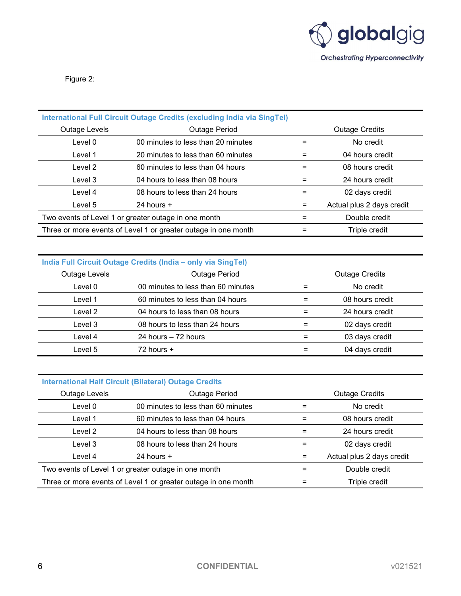

Figure 2:

| International Full Circuit Outage Credits (excluding India via SingTel)         |                                    |   |                           |  |  |  |
|---------------------------------------------------------------------------------|------------------------------------|---|---------------------------|--|--|--|
| Outage Levels                                                                   | Outage Period                      |   | <b>Outage Credits</b>     |  |  |  |
| Level 0                                                                         | 00 minutes to less than 20 minutes |   | No credit                 |  |  |  |
| Level 1                                                                         | 20 minutes to less than 60 minutes |   | 04 hours credit           |  |  |  |
| Level 2                                                                         | 60 minutes to less than 04 hours   | = | 08 hours credit           |  |  |  |
| Level 3                                                                         | 04 hours to less than 08 hours     |   | 24 hours credit           |  |  |  |
| Level 4                                                                         | 08 hours to less than 24 hours     | = | 02 days credit            |  |  |  |
| Level 5                                                                         | 24 hours $+$                       |   | Actual plus 2 days credit |  |  |  |
| Two events of Level 1 or greater outage in one month<br>Double credit<br>=      |                                    |   |                           |  |  |  |
| Three or more events of Level 1 or greater outage in one month<br>Triple credit |                                    |   |                           |  |  |  |

### India Full Circuit Outage Credits (India – only via SingTel)

| <b>Outage Levels</b> | Outage Period                      |  | <b>Outage Credits</b> |
|----------------------|------------------------------------|--|-----------------------|
| Level 0              | 00 minutes to less than 60 minutes |  | No credit             |
| Level 1              | 60 minutes to less than 04 hours   |  | 08 hours credit       |
| Level 2              | 04 hours to less than 08 hours     |  | 24 hours credit       |
| Level 3              | 08 hours to less than 24 hours     |  | 02 days credit        |
| Level 4              | 24 hours - 72 hours                |  | 03 days credit        |
| Level 5              | $72$ hours $+$                     |  | 04 days credit        |

#### International Half Circuit (Bilateral) Outage Credits

| Outage Levels                                        | Outage Period                                                  | <b>Outage Credits</b> |                           |  |
|------------------------------------------------------|----------------------------------------------------------------|-----------------------|---------------------------|--|
| Level 0                                              | 00 minutes to less than 60 minutes                             |                       | No credit                 |  |
| Level 1                                              | 60 minutes to less than 04 hours                               |                       | 08 hours credit           |  |
| Level 2                                              | 04 hours to less than 08 hours                                 |                       | 24 hours credit           |  |
| Level 3                                              | 08 hours to less than 24 hours                                 |                       | 02 days credit            |  |
| Level 4                                              | 24 hours $+$                                                   |                       | Actual plus 2 days credit |  |
| Two events of Level 1 or greater outage in one month |                                                                |                       | Double credit             |  |
|                                                      | Three or more events of Level 1 or greater outage in one month |                       | Triple credit             |  |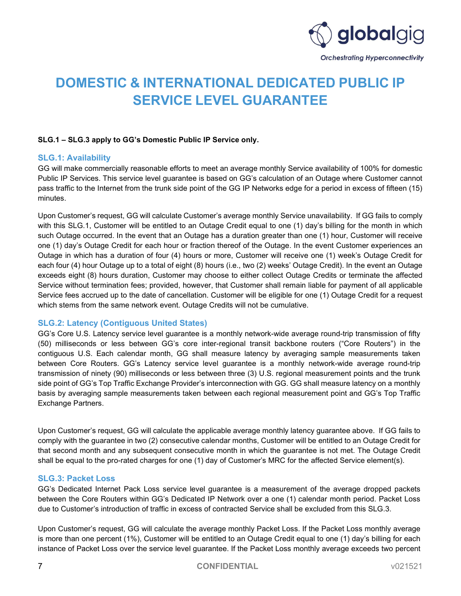

# DOMESTIC & INTERNATIONAL DEDICATED PUBLIC IP SERVICE LEVEL GUARANTEE

#### SLG.1 – SLG.3 apply to GG's Domestic Public IP Service only.

#### SLG.1: Availability

GG will make commercially reasonable efforts to meet an average monthly Service availability of 100% for domestic Public IP Services. This service level guarantee is based on GG's calculation of an Outage where Customer cannot pass traffic to the Internet from the trunk side point of the GG IP Networks edge for a period in excess of fifteen (15) minutes.

Upon Customer's request, GG will calculate Customer's average monthly Service unavailability. If GG fails to comply with this SLG.1, Customer will be entitled to an Outage Credit equal to one (1) day's billing for the month in which such Outage occurred. In the event that an Outage has a duration greater than one (1) hour, Customer will receive one (1) day's Outage Credit for each hour or fraction thereof of the Outage. In the event Customer experiences an Outage in which has a duration of four (4) hours or more, Customer will receive one (1) week's Outage Credit for each four (4) hour Outage up to a total of eight (8) hours (i.e., two (2) weeks' Outage Credit). In the event an Outage exceeds eight (8) hours duration, Customer may choose to either collect Outage Credits or terminate the affected Service without termination fees; provided, however, that Customer shall remain liable for payment of all applicable Service fees accrued up to the date of cancellation. Customer will be eligible for one (1) Outage Credit for a request which stems from the same network event. Outage Credits will not be cumulative.

#### SLG.2: Latency (Contiguous United States)

GG's Core U.S. Latency service level guarantee is a monthly network-wide average round-trip transmission of fifty (50) milliseconds or less between GG's core inter-regional transit backbone routers ("Core Routers") in the contiguous U.S. Each calendar month, GG shall measure latency by averaging sample measurements taken between Core Routers. GG's Latency service level guarantee is a monthly network-wide average round-trip transmission of ninety (90) milliseconds or less between three (3) U.S. regional measurement points and the trunk side point of GG's Top Traffic Exchange Provider's interconnection with GG. GG shall measure latency on a monthly basis by averaging sample measurements taken between each regional measurement point and GG's Top Traffic Exchange Partners.

Upon Customer's request, GG will calculate the applicable average monthly latency guarantee above. If GG fails to comply with the guarantee in two (2) consecutive calendar months, Customer will be entitled to an Outage Credit for that second month and any subsequent consecutive month in which the guarantee is not met. The Outage Credit shall be equal to the pro-rated charges for one (1) day of Customer's MRC for the affected Service element(s).

#### SLG.3: Packet Loss

GG's Dedicated Internet Pack Loss service level guarantee is a measurement of the average dropped packets between the Core Routers within GG's Dedicated IP Network over a one (1) calendar month period. Packet Loss due to Customer's introduction of traffic in excess of contracted Service shall be excluded from this SLG.3.

Upon Customer's request, GG will calculate the average monthly Packet Loss. If the Packet Loss monthly average is more than one percent (1%), Customer will be entitled to an Outage Credit equal to one (1) day's billing for each instance of Packet Loss over the service level guarantee. If the Packet Loss monthly average exceeds two percent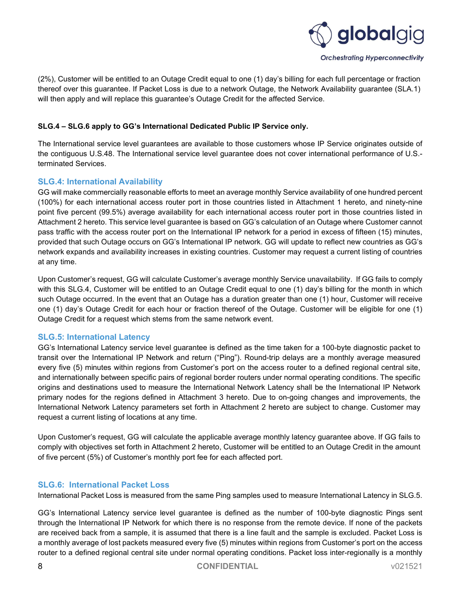

(2%), Customer will be entitled to an Outage Credit equal to one (1) day's billing for each full percentage or fraction thereof over this guarantee. If Packet Loss is due to a network Outage, the Network Availability guarantee (SLA.1) will then apply and will replace this guarantee's Outage Credit for the affected Service.

#### SLG.4 – SLG.6 apply to GG's International Dedicated Public IP Service only.

The International service level guarantees are available to those customers whose IP Service originates outside of the contiguous U.S.48. The International service level guarantee does not cover international performance of U.S. terminated Services.

#### SLG.4: International Availability

GG will make commercially reasonable efforts to meet an average monthly Service availability of one hundred percent (100%) for each international access router port in those countries listed in Attachment 1 hereto, and ninety-nine point five percent (99.5%) average availability for each international access router port in those countries listed in Attachment 2 hereto. This service level guarantee is based on GG's calculation of an Outage where Customer cannot pass traffic with the access router port on the International IP network for a period in excess of fifteen (15) minutes, provided that such Outage occurs on GG's International IP network. GG will update to reflect new countries as GG's network expands and availability increases in existing countries. Customer may request a current listing of countries at any time.

Upon Customer's request, GG will calculate Customer's average monthly Service unavailability. If GG fails to comply with this SLG.4, Customer will be entitled to an Outage Credit equal to one (1) day's billing for the month in which such Outage occurred. In the event that an Outage has a duration greater than one (1) hour, Customer will receive one (1) day's Outage Credit for each hour or fraction thereof of the Outage. Customer will be eligible for one (1) Outage Credit for a request which stems from the same network event.

#### SLG.5: International Latency

GG's International Latency service level guarantee is defined as the time taken for a 100-byte diagnostic packet to transit over the International IP Network and return ("Ping"). Round-trip delays are a monthly average measured every five (5) minutes within regions from Customer's port on the access router to a defined regional central site, and internationally between specific pairs of regional border routers under normal operating conditions. The specific origins and destinations used to measure the International Network Latency shall be the International IP Network primary nodes for the regions defined in Attachment 3 hereto. Due to on-going changes and improvements, the International Network Latency parameters set forth in Attachment 2 hereto are subject to change. Customer may request a current listing of locations at any time.

Upon Customer's request, GG will calculate the applicable average monthly latency guarantee above. If GG fails to comply with objectives set forth in Attachment 2 hereto, Customer will be entitled to an Outage Credit in the amount of five percent (5%) of Customer's monthly port fee for each affected port.

#### SLG.6: International Packet Loss

International Packet Loss is measured from the same Ping samples used to measure International Latency in SLG.5.

GG's International Latency service level guarantee is defined as the number of 100-byte diagnostic Pings sent through the International IP Network for which there is no response from the remote device. If none of the packets are received back from a sample, it is assumed that there is a line fault and the sample is excluded. Packet Loss is a monthly average of lost packets measured every five (5) minutes within regions from Customer's port on the access router to a defined regional central site under normal operating conditions. Packet loss inter-regionally is a monthly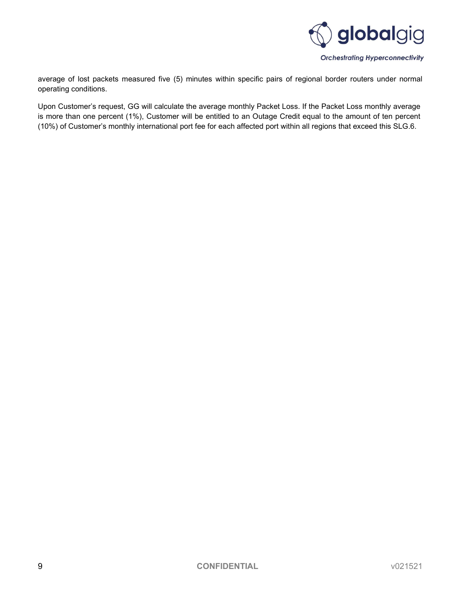

average of lost packets measured five (5) minutes within specific pairs of regional border routers under normal operating conditions.

Upon Customer's request, GG will calculate the average monthly Packet Loss. If the Packet Loss monthly average is more than one percent (1%), Customer will be entitled to an Outage Credit equal to the amount of ten percent (10%) of Customer's monthly international port fee for each affected port within all regions that exceed this SLG.6.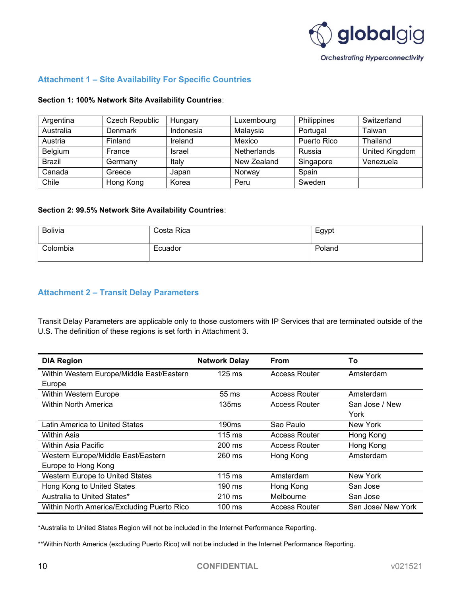

#### Attachment 1 – Site Availability For Specific Countries

#### Section 1: 100% Network Site Availability Countries:

| Argentina     | Czech Republic | Hungary   | Luxembourg         | Philippines | Switzerland    |
|---------------|----------------|-----------|--------------------|-------------|----------------|
| Australia     | Denmark        | Indonesia | Malaysia           | Portugal    | Taiwan         |
| Austria       | Finland        | Ireland   | Mexico             | Puerto Rico | Thailand       |
| Belgium       | France         | Israel    | <b>Netherlands</b> | Russia      | United Kingdom |
| <b>Brazil</b> | Germany        | Italy     | New Zealand        | Singapore   | Venezuela      |
| Canada        | Greece         | Japan     | Norway             | Spain       |                |
| Chile         | Hong Kong      | Korea     | Peru               | Sweden      |                |

#### Section 2: 99.5% Network Site Availability Countries:

| Bolivia  | Costa Rica | Egypt  |
|----------|------------|--------|
| Colombia | Ecuador    | Poland |

#### Attachment 2 – Transit Delay Parameters

Transit Delay Parameters are applicable only to those customers with IP Services that are terminated outside of the U.S. The definition of these regions is set forth in Attachment 3.

| <b>DIA Region</b>                          | <b>Network Delay</b> | <b>From</b>          | To                 |
|--------------------------------------------|----------------------|----------------------|--------------------|
| Within Western Europe/Middle East/Eastern  | $125$ ms             | <b>Access Router</b> | Amsterdam          |
| Europe                                     |                      |                      |                    |
| Within Western Europe                      | 55 ms                | <b>Access Router</b> | Amsterdam          |
| Within North America                       | <b>135ms</b>         | Access Router        | San Jose / New     |
|                                            |                      |                      | York               |
| Latin America to United States             | 190 <sub>ms</sub>    | Sao Paulo            | New York           |
| Within Asia                                | $115 \text{ ms}$     | <b>Access Router</b> | Hong Kong          |
| <b>Within Asia Pacific</b>                 | $200 \text{ ms}$     | <b>Access Router</b> | Hong Kong          |
| Western Europe/Middle East/Eastern         | 260 ms               | Hong Kong            | Amsterdam          |
| Europe to Hong Kong                        |                      |                      |                    |
| Western Europe to United States            | $115$ ms             | Amsterdam            | New York           |
| Hong Kong to United States                 | 190 ms               | Hong Kong            | San Jose           |
| Australia to United States*                | $210 \text{ ms}$     | Melbourne            | San Jose           |
| Within North America/Excluding Puerto Rico | $100 \text{ ms}$     | <b>Access Router</b> | San Jose/ New York |

\*Australia to United States Region will not be included in the Internet Performance Reporting.

\*\*Within North America (excluding Puerto Rico) will not be included in the Internet Performance Reporting.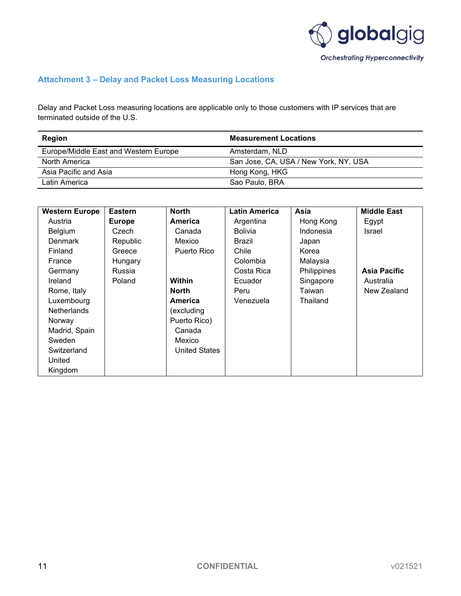

### Attachment 3 – Delay and Packet Loss Measuring Locations

Delay and Packet Loss measuring locations are applicable only to those customers with IP services that are terminated outside of the U.S.

| Region                                | <b>Measurement Locations</b>          |
|---------------------------------------|---------------------------------------|
| Europe/Middle East and Western Europe | Amsterdam, NLD                        |
| North America                         | San Jose, CA, USA / New York, NY, USA |
| Asia Pacific and Asia                 | Hong Kong, HKG                        |
| Latin America                         | Sao Paulo, BRA                        |

| <b>Western Europe</b> | <b>Eastern</b> | <b>North</b>         | <b>Latin America</b> | Asia        | <b>Middle East</b> |
|-----------------------|----------------|----------------------|----------------------|-------------|--------------------|
| Austria               | <b>Europe</b>  | America              | Argentina            | Hong Kong   | Egypt              |
| Belgium               | Czech          | Canada               | <b>Bolivia</b>       | Indonesia   | <b>Israel</b>      |
| <b>Denmark</b>        | Republic       | Mexico               | Brazil               | Japan       |                    |
| Finland               | Greece         | Puerto Rico          | Chile                | Korea       |                    |
| France                | Hungary        |                      | Colombia             | Malaysia    |                    |
| Germany               | Russia         |                      | Costa Rica           | Philippines | Asia Pacific       |
| Ireland               | Poland         | Within               | Ecuador              | Singapore   | Australia          |
| Rome, Italy           |                | <b>North</b>         | Peru                 | Taiwan      | New Zealand        |
| Luxembourg            |                | America              | Venezuela            | Thailand    |                    |
| <b>Netherlands</b>    |                | (excluding           |                      |             |                    |
| Norway                |                | Puerto Rico)         |                      |             |                    |
| Madrid, Spain         |                | Canada               |                      |             |                    |
| Sweden                |                | Mexico               |                      |             |                    |
| Switzerland           |                | <b>United States</b> |                      |             |                    |
| United                |                |                      |                      |             |                    |
| Kingdom               |                |                      |                      |             |                    |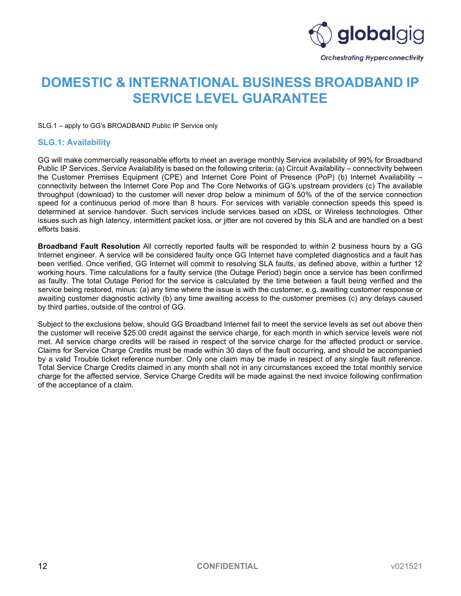

## DOMESTIC & INTERNATIONAL BUSINESS BROADBAND IP SERVICE LEVEL GUARANTEE

SLG.1 – apply to GG's BROADBAND Public IP Service only

#### SLG.1: Availability

GG will make commercially reasonable efforts to meet an average monthly Service availability of 99% for Broadband Public IP Services. Service Availability is based on the following criteria: (a) Circuit Availability – connectivity between the Customer Premises Equipment (CPE) and Internet Core Point of Presence (PoP) (b) Internet Availability – connectivity between the Internet Core Pop and The Core Networks of GG's upstream providers (c) The available throughput (download) to the customer will never drop below a minimum of 50% of the of the service connection speed for a continuous period of more than 8 hours. For services with variable connection speeds this speed is determined at service handover. Such services include services based on xDSL or Wireless technologies. Other issues such as high latency, intermittent packet loss, or jitter are not covered by this SLA and are handled on a best efforts basis.

Broadband Fault Resolution All correctly reported faults will be responded to within 2 business hours by a GG Internet engineer. A service will be considered faulty once GG Internet have completed diagnostics and a fault has been verified. Once verified, GG Internet will commit to resolving SLA faults, as defined above, within a further 12 working hours. Time calculations for a faulty service (the Outage Period) begin once a service has been confirmed as faulty. The total Outage Period for the service is calculated by the time between a fault being verified and the service being restored, minus: (a) any time where the issue is with the customer, e.g. awaiting customer response or awaiting customer diagnostic activity (b) any time awaiting access to the customer premises (c) any delays caused by third parties, outside of the control of GG.

Subject to the exclusions below, should GG Broadband Internet fail to meet the service levels as set out above then the customer will receive \$25.00 credit against the service charge, for each month in which service levels were not met. All service charge credits will be raised in respect of the service charge for the affected product or service. Claims for Service Charge Credits must be made within 30 days of the fault occurring, and should be accompanied by a valid Trouble ticket reference number. Only one claim may be made in respect of any single fault reference. Total Service Charge Credits claimed in any month shall not in any circumstances exceed the total monthly service charge for the affected service. Service Charge Credits will be made against the next invoice following confirmation of the acceptance of a claim.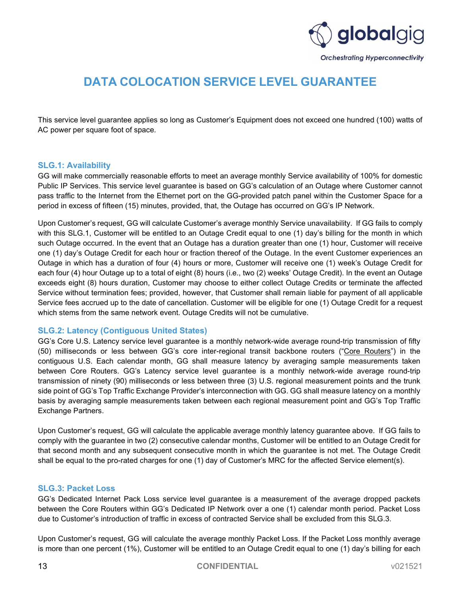

## DATA COLOCATION SERVICE LEVEL GUARANTEE

This service level guarantee applies so long as Customer's Equipment does not exceed one hundred (100) watts of AC power per square foot of space.

#### SLG.1: Availability

GG will make commercially reasonable efforts to meet an average monthly Service availability of 100% for domestic Public IP Services. This service level guarantee is based on GG's calculation of an Outage where Customer cannot pass traffic to the Internet from the Ethernet port on the GG-provided patch panel within the Customer Space for a period in excess of fifteen (15) minutes, provided, that, the Outage has occurred on GG's IP Network.

Upon Customer's request, GG will calculate Customer's average monthly Service unavailability. If GG fails to comply with this SLG.1, Customer will be entitled to an Outage Credit equal to one (1) day's billing for the month in which such Outage occurred. In the event that an Outage has a duration greater than one (1) hour, Customer will receive one (1) day's Outage Credit for each hour or fraction thereof of the Outage. In the event Customer experiences an Outage in which has a duration of four (4) hours or more, Customer will receive one (1) week's Outage Credit for each four (4) hour Outage up to a total of eight (8) hours (i.e., two (2) weeks' Outage Credit). In the event an Outage exceeds eight (8) hours duration, Customer may choose to either collect Outage Credits or terminate the affected Service without termination fees; provided, however, that Customer shall remain liable for payment of all applicable Service fees accrued up to the date of cancellation. Customer will be eligible for one (1) Outage Credit for a request which stems from the same network event. Outage Credits will not be cumulative.

#### SLG.2: Latency (Contiguous United States)

GG's Core U.S. Latency service level guarantee is a monthly network-wide average round-trip transmission of fifty (50) milliseconds or less between GG's core inter-regional transit backbone routers ("Core Routers") in the contiguous U.S. Each calendar month, GG shall measure latency by averaging sample measurements taken between Core Routers. GG's Latency service level guarantee is a monthly network-wide average round-trip transmission of ninety (90) milliseconds or less between three (3) U.S. regional measurement points and the trunk side point of GG's Top Traffic Exchange Provider's interconnection with GG. GG shall measure latency on a monthly basis by averaging sample measurements taken between each regional measurement point and GG's Top Traffic Exchange Partners.

Upon Customer's request, GG will calculate the applicable average monthly latency guarantee above. If GG fails to comply with the guarantee in two (2) consecutive calendar months, Customer will be entitled to an Outage Credit for that second month and any subsequent consecutive month in which the guarantee is not met. The Outage Credit shall be equal to the pro-rated charges for one (1) day of Customer's MRC for the affected Service element(s).

#### SLG.3: Packet Loss

GG's Dedicated Internet Pack Loss service level guarantee is a measurement of the average dropped packets between the Core Routers within GG's Dedicated IP Network over a one (1) calendar month period. Packet Loss due to Customer's introduction of traffic in excess of contracted Service shall be excluded from this SLG.3.

Upon Customer's request, GG will calculate the average monthly Packet Loss. If the Packet Loss monthly average is more than one percent (1%), Customer will be entitled to an Outage Credit equal to one (1) day's billing for each